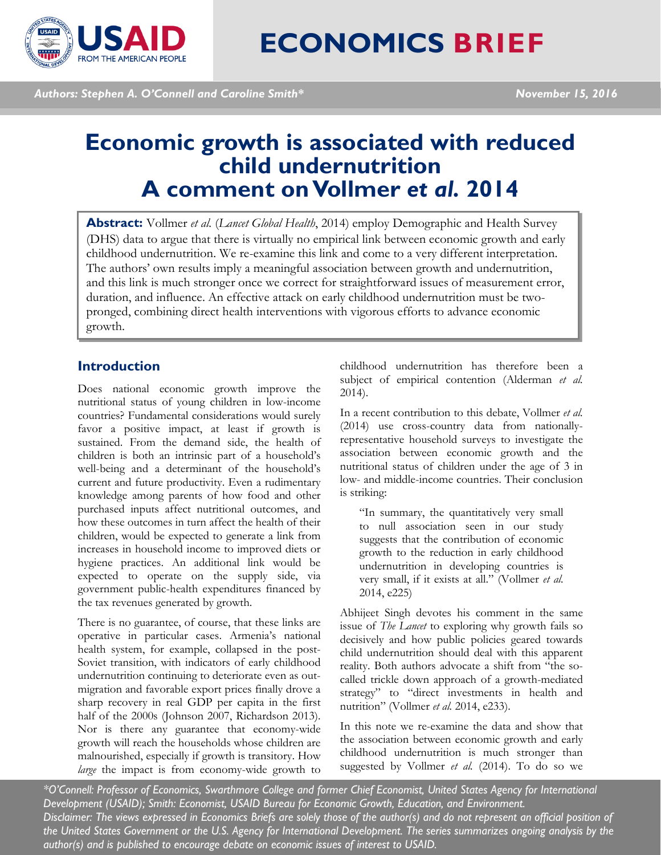

*Authors: Stephen A. O'Connell and Caroline Smith\* November 15, 2016*

# **Economic growth is associated with reduced child undernutrition A comment on Vollmer** *et al.* **2014**

**Abstract:** Vollmer *et al.* (*Lancet Global Health*, 2014) employ Demographic and Health Survey (DHS) data to argue that there is virtually no empirical link between economic growth and early childhood undernutrition. We re-examine this link and come to a very different interpretation. The authors' own results imply a meaningful association between growth and undernutrition, and this link is much stronger once we correct for straightforward issues of measurement error, duration, and influence. An effective attack on early childhood undernutrition must be twopronged, combining direct health interventions with vigorous efforts to advance economic growth.

## **Introduction**

Does national economic growth improve the nutritional status of young children in low-income countries? Fundamental considerations would surely favor a positive impact, at least if growth is sustained. From the demand side, the health of children is both an intrinsic part of a household's well-being and a determinant of the household's current and future productivity. Even a rudimentary knowledge among parents of how food and other purchased inputs affect nutritional outcomes, and how these outcomes in turn affect the health of their children, would be expected to generate a link from increases in household income to improved diets or hygiene practices. An additional link would be expected to operate on the supply side, via government public-health expenditures financed by the tax revenues generated by growth.

There is no guarantee, of course, that these links are operative in particular cases. Armenia's national health system, for example, collapsed in the post-Soviet transition, with indicators of early childhood undernutrition continuing to deteriorate even as outmigration and favorable export prices finally drove a sharp recovery in real GDP per capita in the first half of the 2000s (Johnson 2007, Richardson 2013). Nor is there any guarantee that economy-wide growth will reach the households whose children are malnourished, especially if growth is transitory. How *large* the impact is from economy-wide growth to

childhood undernutrition has therefore been a subject of empirical contention (Alderman *et al.* 2014).

In a recent contribution to this debate, Vollmer *et al.* (2014) use cross-country data from nationallyrepresentative household surveys to investigate the association between economic growth and the nutritional status of children under the age of 3 in low- and middle-income countries. Their conclusion is striking:

"In summary, the quantitatively very small to null association seen in our study suggests that the contribution of economic growth to the reduction in early childhood undernutrition in developing countries is very small, if it exists at all." (Vollmer *et al.* 2014, e225)

Abhijeet Singh devotes his comment in the same issue of *The Lancet* to exploring why growth fails so decisively and how public policies geared towards child undernutrition should deal with this apparent reality. Both authors advocate a shift from "the socalled trickle down approach of a growth-mediated strategy" to "direct investments in health and nutrition" (Vollmer *et al.* 2014, e233).

In this note we re-examine the data and show that the association between economic growth and early childhood undernutrition is much stronger than suggested by Vollmer *et al.* (2014). To do so we

*\*O'Connell: Professor of Economics, Swarthmore College and former Chief Economist, United States Agency for International Development (USAID); Smith: Economist, USAID Bureau for Economic Growth, Education, and Environment. Disclaimer: The views expressed in Economics Briefs are solely those of the author(s) and do not represent an official position of the United States Government or the U.S. Agency for International Development. The series summarizes ongoing analysis by the author(s) and is published to encourage debate on economic issues of interest to USAID.*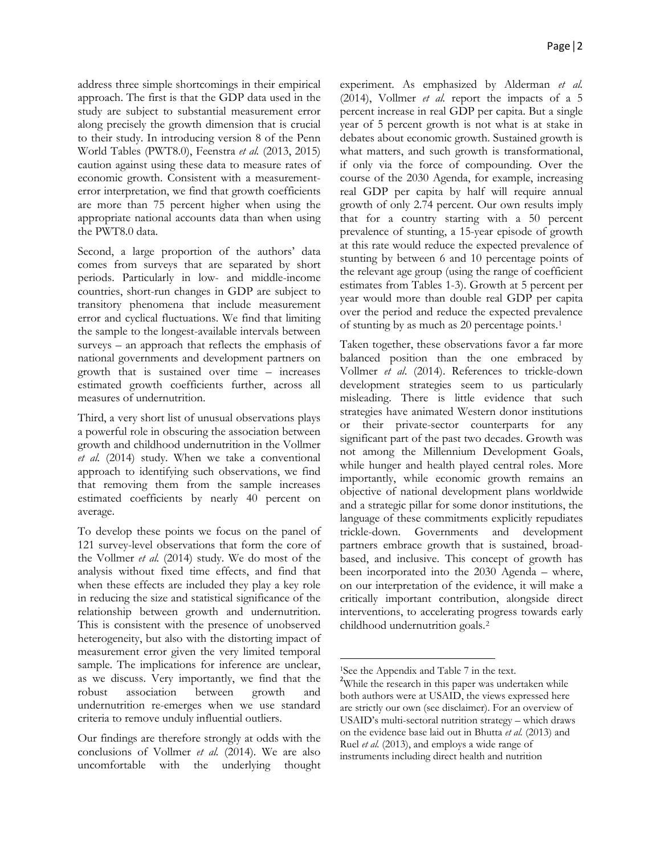address three simple shortcomings in their empirical approach. The first is that the GDP data used in the study are subject to substantial measurement error along precisely the growth dimension that is crucial to their study. In introducing version 8 of the Penn World Tables (PWT8.0), Feenstra *et al.* (2013, 2015) caution against using these data to measure rates of economic growth. Consistent with a measurementerror interpretation, we find that growth coefficients are more than 75 percent higher when using the appropriate national accounts data than when using the PWT8.0 data.

Second, a large proportion of the authors' data comes from surveys that are separated by short periods. Particularly in low- and middle-income countries, short-run changes in GDP are subject to transitory phenomena that include measurement error and cyclical fluctuations. We find that limiting the sample to the longest-available intervals between surveys – an approach that reflects the emphasis of national governments and development partners on growth that is sustained over time – increases estimated growth coefficients further, across all measures of undernutrition.

Third, a very short list of unusual observations plays a powerful role in obscuring the association between growth and childhood undernutrition in the Vollmer *et al.* (2014) study. When we take a conventional approach to identifying such observations, we find that removing them from the sample increases estimated coefficients by nearly 40 percent on average.

To develop these points we focus on the panel of 121 survey-level observations that form the core of the Vollmer *et al.* (2014) study. We do most of the analysis without fixed time effects, and find that when these effects are included they play a key role in reducing the size and statistical significance of the relationship between growth and undernutrition. This is consistent with the presence of unobserved heterogeneity, but also with the distorting impact of measurement error given the very limited temporal sample. The implications for inference are unclear, as we discuss. Very importantly, we find that the robust association between growth and undernutrition re-emerges when we use standard criteria to remove unduly influential outliers.

<span id="page-1-1"></span><span id="page-1-0"></span>Our findings are therefore strongly at odds with the conclusions of Vollmer *et al.* (2014). We are also uncomfortable with the underlying thought experiment. As emphasized by Alderman *et al.* (2014), Vollmer *et al.* report the impacts of a 5 percent increase in real GDP per capita. But a single year of 5 percent growth is not what is at stake in debates about economic growth. Sustained growth is what matters, and such growth is transformational, if only via the force of compounding. Over the course of the 2030 Agenda, for example, increasing real GDP per capita by half will require annual growth of only 2.74 percent. Our own results imply that for a country starting with a 50 percent prevalence of stunting, a 15-year episode of growth at this rate would reduce the expected prevalence of stunting by between 6 and 10 percentage points of the relevant age group (using the range of coefficient estimates from Tables 1-3). Growth at 5 percent per year would more than double real GDP per capita over the period and reduce the expected prevalence of stunting by as much as 20 percentage points.[1](#page-1-0)

Taken together, these observations favor a far more balanced position than the one embraced by Vollmer *et al*. (2014). References to trickle-down development strategies seem to us particularly misleading. There is little evidence that such strategies have animated Western donor institutions or their private-sector counterparts for any significant part of the past two decades. Growth was not among the Millennium Development Goals, while hunger and health played central roles. More importantly, while economic growth remains an objective of national development plans worldwide and a strategic pillar for some donor institutions, the language of these commitments explicitly repudiates trickle-down. Governments and development partners embrace growth that is sustained, broadbased, and inclusive. This concept of growth has been incorporated into the 2030 Agenda – where, on our interpretation of the evidence, it will make a critically important contribution, alongside direct interventions, to accelerating progress towards early childhood undernutrition goals.[2](#page-1-1)

l

<sup>&</sup>lt;sup>1</sup>See the Appendix and Table 7 in the text.

<sup>&</sup>lt;sup>2</sup>While the research in this paper was undertaken while both authors were at USAID, the views expressed here are strictly our own (see disclaimer). For an overview of USAID's multi-sectoral nutrition strategy – which draws on the evidence base laid out in Bhutta *et al.* (2013) and Ruel *et al.* (2013), and employs a wide range of instruments including direct health and nutrition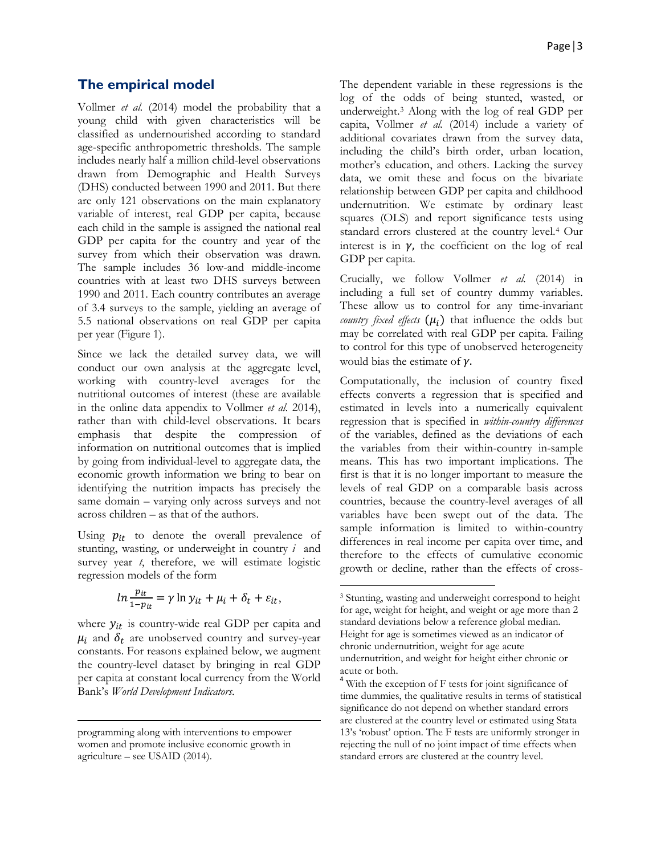## **The empirical model**

Vollmer *et al.* (2014) model the probability that a young child with given characteristics will be classified as undernourished according to standard age-specific anthropometric thresholds. The sample includes nearly half a million child-level observations drawn from Demographic and Health Surveys (DHS) conducted between 1990 and 2011. But there are only 121 observations on the main explanatory variable of interest, real GDP per capita, because each child in the sample is assigned the national real GDP per capita for the country and year of the survey from which their observation was drawn. The sample includes 36 low-and middle-income countries with at least two DHS surveys between 1990 and 2011. Each country contributes an average of 3.4 surveys to the sample, yielding an average of 5.5 national observations on real GDP per capita per year (Figure 1).

Since we lack the detailed survey data, we will conduct our own analysis at the aggregate level, working with country-level averages for the nutritional outcomes of interest (these are available in the online data appendix to Vollmer *et al.* 2014), rather than with child-level observations. It bears emphasis that despite the compression of information on nutritional outcomes that is implied by going from individual-level to aggregate data, the economic growth information we bring to bear on identifying the nutrition impacts has precisely the same domain – varying only across surveys and not across children – as that of the authors.

Using  $p_{it}$  to denote the overall prevalence of stunting, wasting, or underweight in country *i* and survey year *t*, therefore, we will estimate logistic regression models of the form

$$
\ln \frac{p_{it}}{1 - p_{it}} = \gamma \ln y_{it} + \mu_i + \delta_t + \varepsilon_{it},
$$

<span id="page-2-0"></span>where  $y_{it}$  is country-wide real GDP per capita and  $\mu_i$  and  $\delta_t$  are unobserved country and survey-year constants. For reasons explained below, we augment the country-level dataset by bringing in real GDP per capita at constant local currency from the World Bank's *World Development Indicators*.

<span id="page-2-1"></span>l

The dependent variable in these regressions is the log of the odds of being stunted, wasted, or underweight.[3](#page-2-0) Along with the log of real GDP per capita, Vollmer *et al.* (2014) include a variety of additional covariates drawn from the survey data, including the child's birth order, urban location, mother's education, and others. Lacking the survey data, we omit these and focus on the bivariate relationship between GDP per capita and childhood undernutrition. We estimate by ordinary least squares (OLS) and report significance tests using standard errors clustered at the country level.[4](#page-2-1) Our interest is in  $\gamma$ , the coefficient on the log of real GDP per capita.

Crucially, we follow Vollmer *et al.* (2014) in including a full set of country dummy variables. These allow us to control for any time-invariant *country fixed effects*  $(\mu_i)$  that influence the odds but may be correlated with real GDP per capita. Failing to control for this type of unobserved heterogeneity would bias the estimate of  $\gamma$ .

Computationally, the inclusion of country fixed effects converts a regression that is specified and estimated in levels into a numerically equivalent regression that is specified in *within-country differences* of the variables, defined as the deviations of each the variables from their within-country in-sample means. This has two important implications. The first is that it is no longer important to measure the levels of real GDP on a comparable basis across countries, because the country-level averages of all variables have been swept out of the data. The sample information is limited to within-country differences in real income per capita over time, and therefore to the effects of cumulative economic growth or decline, rather than the effects of cross-

 $\overline{\phantom{a}}$ 

programming along with interventions to empower women and promote inclusive economic growth in agriculture – see USAID (2014).

<sup>3</sup> Stunting, wasting and underweight correspond to height for age, weight for height, and weight or age more than 2 standard deviations below a reference global median. Height for age is sometimes viewed as an indicator of chronic undernutrition, weight for age acute undernutrition, and weight for height either chronic or acute or both.

<sup>&</sup>lt;sup>4</sup> With the exception of F tests for joint significance of time dummies, the qualitative results in terms of statistical significance do not depend on whether standard errors are clustered at the country level or estimated using Stata 13's 'robust' option. The F tests are uniformly stronger in rejecting the null of no joint impact of time effects when standard errors are clustered at the country level.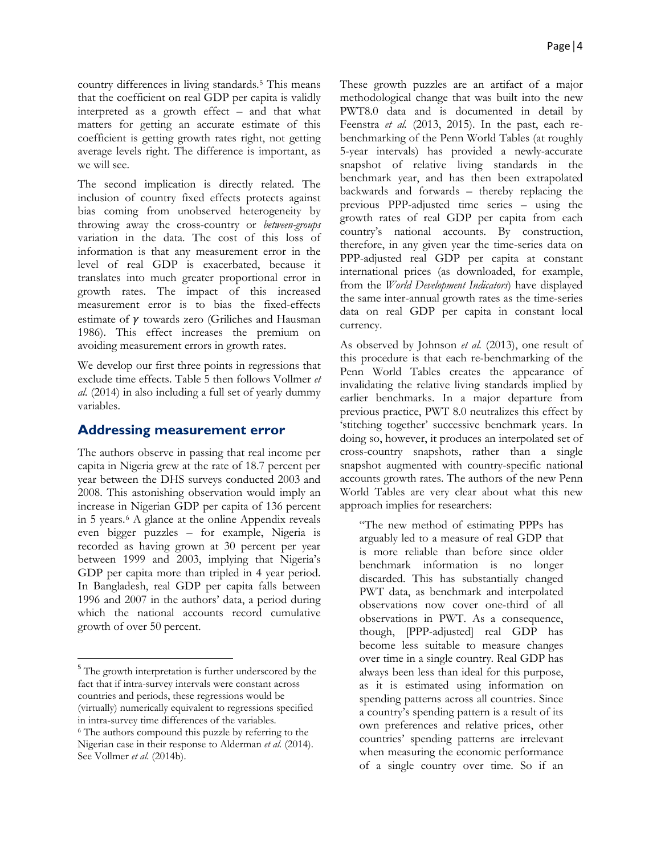country differences in living standards[.5](#page-3-0) This means that the coefficient on real GDP per capita is validly interpreted as a growth effect – and that what matters for getting an accurate estimate of this coefficient is getting growth rates right, not getting average levels right. The difference is important, as we will see.

The second implication is directly related. The inclusion of country fixed effects protects against bias coming from unobserved heterogeneity by throwing away the cross-country or *between-groups* variation in the data. The cost of this loss of information is that any measurement error in the level of real GDP is exacerbated, because it translates into much greater proportional error in growth rates. The impact of this increased measurement error is to bias the fixed-effects estimate of  $\nu$  towards zero (Griliches and Hausman 1986). This effect increases the premium on avoiding measurement errors in growth rates.

We develop our first three points in regressions that exclude time effects. Table 5 then follows Vollmer *et al.* (2014) in also including a full set of yearly dummy variables.

## **Addressing measurement error**

The authors observe in passing that real income per capita in Nigeria grew at the rate of 18.7 percent per year between the DHS surveys conducted 2003 and 2008. This astonishing observation would imply an increase in Nigerian GDP per capita of 136 percent in 5 years.[6](#page-3-1) A glance at the online Appendix reveals even bigger puzzles – for example, Nigeria is recorded as having grown at 30 percent per year between 1999 and 2003, implying that Nigeria's GDP per capita more than tripled in 4 year period. In Bangladesh, real GDP per capita falls between 1996 and 2007 in the authors' data, a period during which the national accounts record cumulative growth of over 50 percent.

These growth puzzles are an artifact of a major methodological change that was built into the new PWT8.0 data and is documented in detail by Feenstra *et al.* (2013, 2015). In the past, each rebenchmarking of the Penn World Tables (at roughly 5-year intervals) has provided a newly-accurate snapshot of relative living standards in the benchmark year, and has then been extrapolated backwards and forwards – thereby replacing the previous PPP-adjusted time series – using the growth rates of real GDP per capita from each country's national accounts. By construction, therefore, in any given year the time-series data on PPP-adjusted real GDP per capita at constant international prices (as downloaded, for example, from the *World Development Indicators*) have displayed the same inter-annual growth rates as the time-series data on real GDP per capita in constant local currency.

As observed by Johnson *et al.* (2013), one result of this procedure is that each re-benchmarking of the Penn World Tables creates the appearance of invalidating the relative living standards implied by earlier benchmarks. In a major departure from previous practice, PWT 8.0 neutralizes this effect by 'stitching together' successive benchmark years. In doing so, however, it produces an interpolated set of cross-country snapshots, rather than a single snapshot augmented with country-specific national accounts growth rates. The authors of the new Penn World Tables are very clear about what this new approach implies for researchers:

"The new method of estimating PPPs has arguably led to a measure of real GDP that is more reliable than before since older benchmark information is no longer discarded. This has substantially changed PWT data, as benchmark and interpolated observations now cover one-third of all observations in PWT. As a consequence, though, [PPP-adjusted] real GDP has become less suitable to measure changes over time in a single country. Real GDP has always been less than ideal for this purpose, as it is estimated using information on spending patterns across all countries. Since a country's spending pattern is a result of its own preferences and relative prices, other countries' spending patterns are irrelevant when measuring the economic performance of a single country over time. So if an

<span id="page-3-1"></span><span id="page-3-0"></span><sup>&</sup>lt;sup>5</sup> The growth interpretation is further underscored by the fact that if intra-survey intervals were constant across countries and periods, these regressions would be (virtually) numerically equivalent to regressions specified in intra-survey time differences of the variables. <sup>6</sup> The authors compound this puzzle by referring to the Nigerian case in their response to Alderman *et al.* (2014). See Vollmer et al. (2014b).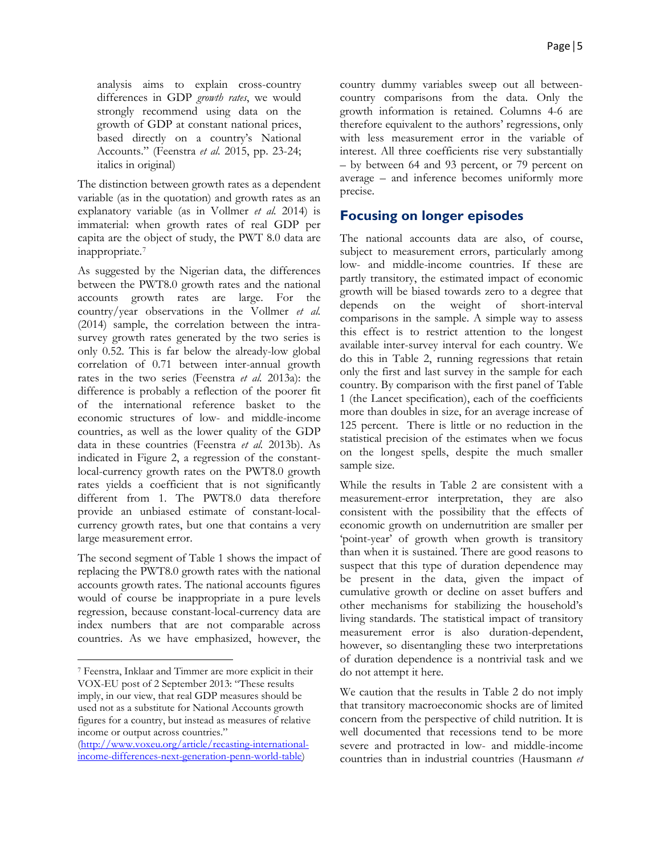analysis aims to explain cross-country differences in GDP *growth rates*, we would strongly recommend using data on the growth of GDP at constant national prices, based directly on a country's National Accounts." (Feenstra *et al.* 2015, pp. 23-24; italics in original)

The distinction between growth rates as a dependent variable (as in the quotation) and growth rates as an explanatory variable (as in Vollmer *et al.* 2014) is immaterial: when growth rates of real GDP per capita are the object of study, the PWT 8.0 data are inappropriate.[7](#page-4-0)

As suggested by the Nigerian data, the differences between the PWT8.0 growth rates and the national accounts growth rates are large. For the country/year observations in the Vollmer *et al.* (2014) sample, the correlation between the intrasurvey growth rates generated by the two series is only 0.52. This is far below the already-low global correlation of 0.71 between inter-annual growth rates in the two series (Feenstra *et al.* 2013a): the difference is probably a reflection of the poorer fit of the international reference basket to the economic structures of low- and middle-income countries, as well as the lower quality of the GDP data in these countries (Feenstra *et al.* 2013b). As indicated in Figure 2, a regression of the constantlocal-currency growth rates on the PWT8.0 growth rates yields a coefficient that is not significantly different from 1. The PWT8.0 data therefore provide an unbiased estimate of constant-localcurrency growth rates, but one that contains a very large measurement error.

The second segment of Table 1 shows the impact of replacing the PWT8.0 growth rates with the national accounts growth rates. The national accounts figures would of course be inappropriate in a pure levels regression, because constant-local-currency data are index numbers that are not comparable across countries. As we have emphasized, however, the

 $\overline{\phantom{a}}$ 

country dummy variables sweep out all betweencountry comparisons from the data. Only the growth information is retained. Columns 4-6 are therefore equivalent to the authors' regressions, only with less measurement error in the variable of interest. All three coefficients rise very substantially – by between 64 and 93 percent, or 79 percent on average – and inference becomes uniformly more precise.

# **Focusing on longer episodes**

The national accounts data are also, of course, subject to measurement errors, particularly among low- and middle-income countries. If these are partly transitory, the estimated impact of economic growth will be biased towards zero to a degree that depends on the weight of short-interval comparisons in the sample. A simple way to assess this effect is to restrict attention to the longest available inter-survey interval for each country. We do this in Table 2, running regressions that retain only the first and last survey in the sample for each country. By comparison with the first panel of Table 1 (the Lancet specification), each of the coefficients more than doubles in size, for an average increase of 125 percent. There is little or no reduction in the statistical precision of the estimates when we focus on the longest spells, despite the much smaller sample size.

While the results in Table 2 are consistent with a measurement-error interpretation, they are also consistent with the possibility that the effects of economic growth on undernutrition are smaller per 'point-year' of growth when growth is transitory than when it is sustained. There are good reasons to suspect that this type of duration dependence may be present in the data, given the impact of cumulative growth or decline on asset buffers and other mechanisms for stabilizing the household's living standards. The statistical impact of transitory measurement error is also duration-dependent, however, so disentangling these two interpretations of duration dependence is a nontrivial task and we do not attempt it here.

We caution that the results in Table 2 do not imply that transitory macroeconomic shocks are of limited concern from the perspective of child nutrition. It is well documented that recessions tend to be more severe and protracted in low- and middle-income countries than in industrial countries (Hausmann *et* 

<span id="page-4-0"></span><sup>7</sup> Feenstra, Inklaar and Timmer are more explicit in their VOX-EU post of 2 September 2013: "These results imply, in our view, that real GDP measures should be used not as a substitute for National Accounts growth figures for a country, but instead as measures of relative income or output across countries."

[<sup>\(</sup>http://www.voxeu.org/article/recasting-international](http://www.voxeu.org/article/recasting-international-income-differences-next-generation-penn-world-table)[income-differences-next-generation-penn-world-table\)](http://www.voxeu.org/article/recasting-international-income-differences-next-generation-penn-world-table)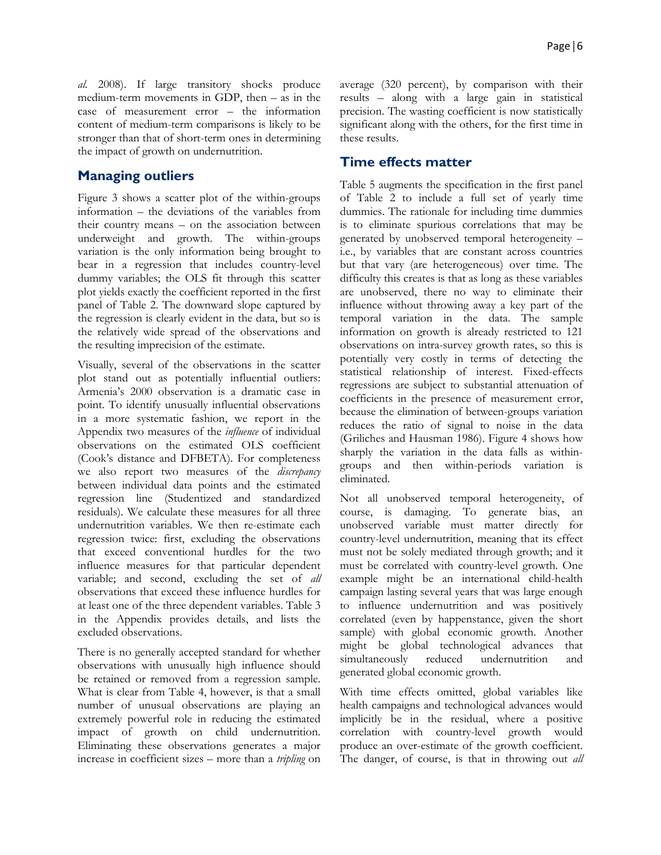*al.* 2008). If large transitory shocks produce medium-term movements in GDP, then – as in the case of measurement error – the information content of medium-term comparisons is likely to be stronger than that of short-term ones in determining the impact of growth on undernutrition.

# **Managing outliers**

Figure 3 shows a scatter plot of the within-groups information – the deviations of the variables from their country means – on the association between underweight and growth. The within-groups variation is the only information being brought to bear in a regression that includes country-level dummy variables; the OLS fit through this scatter plot yields exactly the coefficient reported in the first panel of Table 2. The downward slope captured by the regression is clearly evident in the data, but so is the relatively wide spread of the observations and the resulting imprecision of the estimate.

Visually, several of the observations in the scatter plot stand out as potentially influential outliers: Armenia's 2000 observation is a dramatic case in point. To identify unusually influential observations in a more systematic fashion, we report in the Appendix two measures of the *influence* of individual observations on the estimated OLS coefficient (Cook's distance and DFBETA). For completeness we also report two measures of the *discrepancy* between individual data points and the estimated regression line (Studentized and standardized residuals). We calculate these measures for all three undernutrition variables. We then re-estimate each regression twice: first, excluding the observations that exceed conventional hurdles for the two influence measures for that particular dependent variable; and second, excluding the set of *all* observations that exceed these influence hurdles for at least one of the three dependent variables. Table 3 in the Appendix provides details, and lists the excluded observations.

There is no generally accepted standard for whether observations with unusually high influence should be retained or removed from a regression sample. What is clear from Table 4, however, is that a small number of unusual observations are playing an extremely powerful role in reducing the estimated impact of growth on child undernutrition. Eliminating these observations generates a major increase in coefficient sizes – more than a *tripling* on

average (320 percent), by comparison with their results – along with a large gain in statistical precision. The wasting coefficient is now statistically significant along with the others, for the first time in these results.

# **Time effects matter**

Table 5 augments the specification in the first panel of Table 2 to include a full set of yearly time dummies. The rationale for including time dummies is to eliminate spurious correlations that may be generated by unobserved temporal heterogeneity – i.e., by variables that are constant across countries but that vary (are heterogeneous) over time. The difficulty this creates is that as long as these variables are unobserved, there no way to eliminate their influence without throwing away a key part of the temporal variation in the data. The sample information on growth is already restricted to 121 observations on intra-survey growth rates, so this is potentially very costly in terms of detecting the statistical relationship of interest. Fixed-effects regressions are subject to substantial attenuation of coefficients in the presence of measurement error, because the elimination of between-groups variation reduces the ratio of signal to noise in the data (Griliches and Hausman 1986). Figure 4 shows how sharply the variation in the data falls as withingroups and then within-periods variation is eliminated.

Not all unobserved temporal heterogeneity, of course, is damaging. To generate bias, an unobserved variable must matter directly for country-level undernutrition, meaning that its effect must not be solely mediated through growth; and it must be correlated with country-level growth. One example might be an international child-health campaign lasting several years that was large enough to influence undernutrition and was positively correlated (even by happenstance, given the short sample) with global economic growth. Another might be global technological advances that simultaneously reduced undernutrition and generated global economic growth.

With time effects omitted, global variables like health campaigns and technological advances would implicitly be in the residual, where a positive correlation with country-level growth would produce an over-estimate of the growth coefficient. The danger, of course, is that in throwing out *all*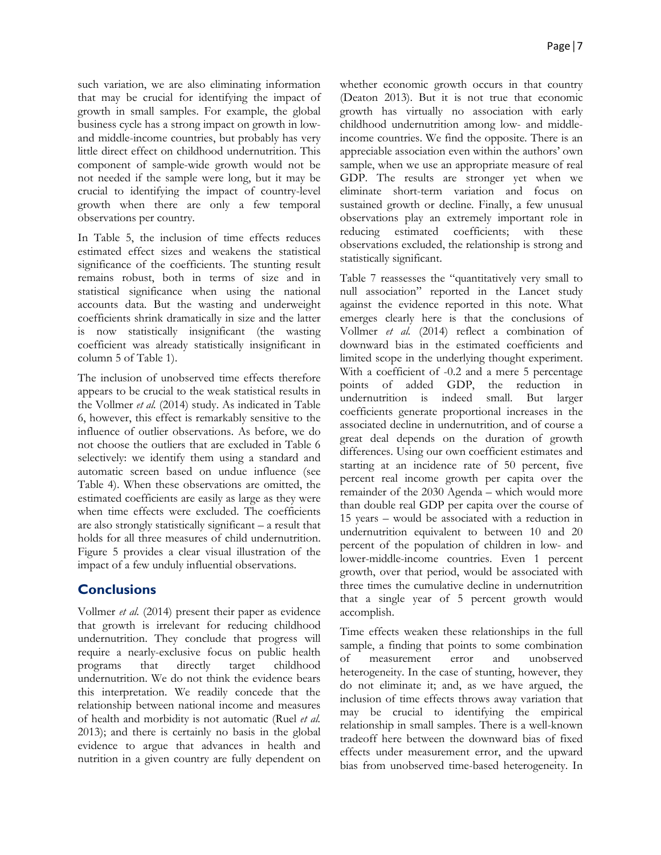such variation, we are also eliminating information that may be crucial for identifying the impact of growth in small samples. For example, the global business cycle has a strong impact on growth in lowand middle-income countries, but probably has very little direct effect on childhood undernutrition. This component of sample-wide growth would not be not needed if the sample were long, but it may be crucial to identifying the impact of country-level growth when there are only a few temporal observations per country.

In Table 5, the inclusion of time effects reduces estimated effect sizes and weakens the statistical significance of the coefficients. The stunting result remains robust, both in terms of size and in statistical significance when using the national accounts data. But the wasting and underweight coefficients shrink dramatically in size and the latter is now statistically insignificant (the wasting coefficient was already statistically insignificant in column 5 of Table 1).

The inclusion of unobserved time effects therefore appears to be crucial to the weak statistical results in the Vollmer *et al.* (2014) study. As indicated in Table 6, however, this effect is remarkably sensitive to the influence of outlier observations. As before, we do not choose the outliers that are excluded in Table 6 selectively: we identify them using a standard and automatic screen based on undue influence (see Table 4). When these observations are omitted, the estimated coefficients are easily as large as they were when time effects were excluded. The coefficients are also strongly statistically significant – a result that holds for all three measures of child undernutrition. Figure 5 provides a clear visual illustration of the impact of a few unduly influential observations.

# **Conclusions**

Vollmer *et al.* (2014) present their paper as evidence that growth is irrelevant for reducing childhood undernutrition. They conclude that progress will require a nearly-exclusive focus on public health programs that directly target childhood undernutrition. We do not think the evidence bears this interpretation. We readily concede that the relationship between national income and measures of health and morbidity is not automatic (Ruel *et al.* 2013); and there is certainly no basis in the global evidence to argue that advances in health and nutrition in a given country are fully dependent on

whether economic growth occurs in that country (Deaton 2013). But it is not true that economic growth has virtually no association with early childhood undernutrition among low- and middleincome countries. We find the opposite. There is an appreciable association even within the authors' own sample, when we use an appropriate measure of real GDP. The results are stronger yet when we eliminate short-term variation and focus on sustained growth or decline. Finally, a few unusual observations play an extremely important role in reducing estimated coefficients; with these observations excluded, the relationship is strong and statistically significant.

Table 7 reassesses the "quantitatively very small to null association" reported in the Lancet study against the evidence reported in this note. What emerges clearly here is that the conclusions of Vollmer *et al.* (2014) reflect a combination of downward bias in the estimated coefficients and limited scope in the underlying thought experiment. With a coefficient of -0.2 and a mere 5 percentage points of added GDP, the reduction in undernutrition is indeed small. But larger coefficients generate proportional increases in the associated decline in undernutrition, and of course a great deal depends on the duration of growth differences. Using our own coefficient estimates and starting at an incidence rate of 50 percent, five percent real income growth per capita over the remainder of the 2030 Agenda – which would more than double real GDP per capita over the course of 15 years – would be associated with a reduction in undernutrition equivalent to between 10 and 20 percent of the population of children in low- and lower-middle-income countries. Even 1 percent growth, over that period, would be associated with three times the cumulative decline in undernutrition that a single year of 5 percent growth would accomplish.

Time effects weaken these relationships in the full sample, a finding that points to some combination of measurement error and unobserved heterogeneity. In the case of stunting, however, they do not eliminate it; and, as we have argued, the inclusion of time effects throws away variation that may be crucial to identifying the empirical relationship in small samples. There is a well-known tradeoff here between the downward bias of fixed effects under measurement error, and the upward bias from unobserved time-based heterogeneity. In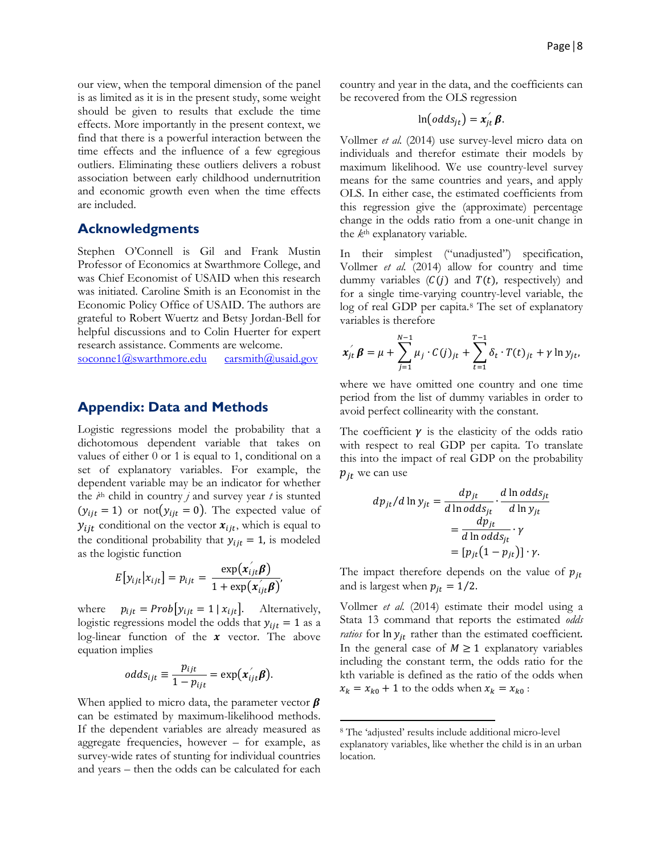our view, when the temporal dimension of the panel is as limited as it is in the present study, some weight should be given to results that exclude the time effects. More importantly in the present context, we find that there is a powerful interaction between the time effects and the influence of a few egregious outliers. Eliminating these outliers delivers a robust association between early childhood undernutrition and economic growth even when the time effects are included.

#### **Acknowledgments**

Stephen O'Connell is Gil and Frank Mustin Professor of Economics at Swarthmore College, and was Chief Economist of USAID when this research was initiated. Caroline Smith is an Economist in the Economic Policy Office of USAID. The authors are grateful to Robert Wuertz and Betsy Jordan-Bell for helpful discussions and to Colin Huerter for expert research assistance. Comments are welcome.<br>soconnel@swarthmore.edu carsmith@usaid.gov

soconne $1$ @swarthmore.edu

#### **Appendix: Data and Methods**

Logistic regressions model the probability that a dichotomous dependent variable that takes on values of either 0 or 1 is equal to 1, conditional on a set of explanatory variables. For example, the dependent variable may be an indicator for whether the  $i^{\text{th}}$  child in country *j* and survey year *t* is stunted  $(y_{ijt} = 1)$  or not  $(y_{ijt} = 0)$ . The expected value of  $y_{ijt}$  conditional on the vector  $x_{ijt}$ , which is equal to the conditional probability that  $y_{i,t} = 1$ , is modeled as the logistic function  $\mathcal{L}^{\mathcal{L}}$ 

$$
E[y_{ijt}|x_{ijt}] = p_{ijt} = \frac{\exp(x_{ijt}\beta)}{1 + \exp(x'_{ijt}\beta)},
$$

where  $p_{ijt} = Prob[y_{ijt} = 1 | x_{ijt}]$ . Alternatively, logistic regressions model the odds that  $y_{ijt} = 1$  as a log-linear function of the  $x$  vector. The above equation implies

$$
odds_{ijt} \equiv \frac{p_{ijt}}{1-p_{ijt}} = \exp(x_{ijt}^{\prime}\boldsymbol{\beta}).
$$

<span id="page-7-0"></span>When applied to micro data, the parameter vector  $\beta$ can be estimated by maximum-likelihood methods. If the dependent variables are already measured as aggregate frequencies, however – for example, as survey-wide rates of stunting for individual countries and years – then the odds can be calculated for each country and year in the data, and the coefficients can be recovered from the OLS regression

$$
\ln(\text{odds}_{jt}) = x_{jt}^{'} \beta.
$$

Vollmer *et al.* (2014) use survey-level micro data on individuals and therefor estimate their models by maximum likelihood. We use country-level survey means for the same countries and years, and apply OLS. In either case, the estimated coefficients from this regression give the (approximate) percentage change in the odds ratio from a one-unit change in the *k*th explanatory variable.

In their simplest ("unadjusted") specification, Vollmer *et al.* (2014) allow for country and time dummy variables  $(C(j)$  and  $T(t)$ , respectively) and for a single time-varying country-level variable, the log of real GDP per capita.[8](#page-7-0) The set of explanatory variables is therefore

$$
x_{jt}^{'} \beta = \mu + \sum_{j=1}^{N-1} \mu_j \cdot C(j)_{jt} + \sum_{t=1}^{T-1} \delta_t \cdot T(t)_{jt} + \gamma \ln y_{jt},
$$

where we have omitted one country and one time period from the list of dummy variables in order to avoid perfect collinearity with the constant.

The coefficient  $\gamma$  is the elasticity of the odds ratio with respect to real GDP per capita. To translate this into the impact of real GDP on the probability  $p_{it}$  we can use

$$
dp_{jt}/d \ln y_{jt} = \frac{dp_{jt}}{d \ln odd s_{jt}} \cdot \frac{d \ln odd s_{jt}}{d \ln y_{jt}}
$$
  
= 
$$
\frac{dp_{jt}}{d \ln odd s_{jt}} \cdot \gamma
$$
  
= 
$$
[p_{jt}(1 - p_{jt})] \cdot \gamma.
$$

The impact therefore depends on the value of  $p_{it}$ and is largest when  $p_{it} = 1/2$ .

Vollmer *et al.* (2014) estimate their model using a Stata 13 command that reports the estimated *odds ratios* for  $\ln y_{it}$  rather than the estimated coefficient. In the general case of  $M \geq 1$  explanatory variables including the constant term, the odds ratio for the kth variable is defined as the ratio of the odds when  $x_k = x_{k0} + 1$  to the odds when  $x_k = x_{k0}$ :

l

<sup>8</sup> The 'adjusted' results include additional micro-level explanatory variables, like whether the child is in an urban location.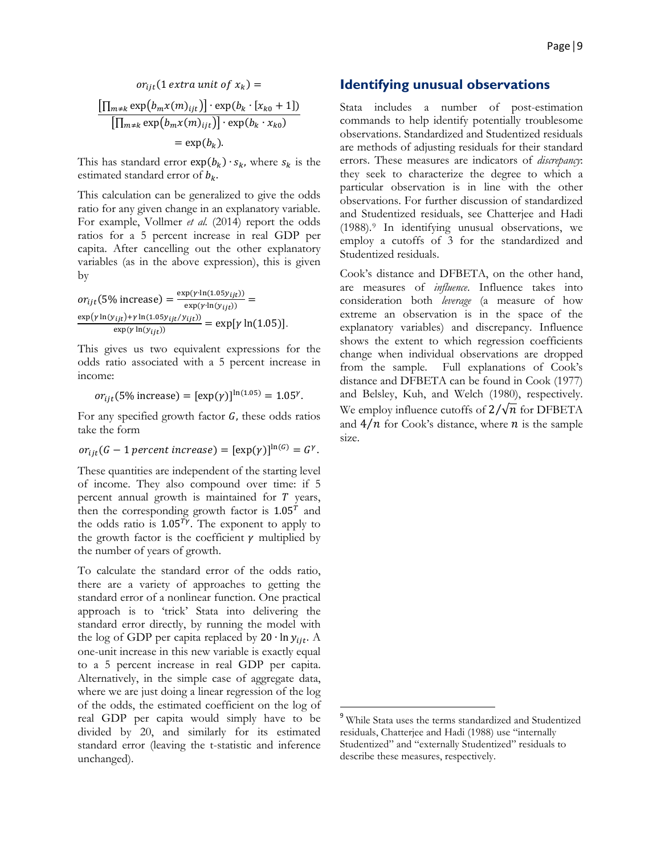$$
or_{ijt} (1 \text{ extra unit of } x_k) =
$$

$$
\frac{\left[\prod_{m \neq k} \exp(b_m x(m)_{ijt})\right] \cdot \exp(b_k \cdot [x_{k0} + 1])}{\left[\prod_{m \neq k} \exp(b_m x(m)_{ijt})\right] \cdot \exp(b_k \cdot x_{k0})}
$$

$$
= \exp(b_k).
$$

This has standard error  $exp(b_k) \cdot s_k$ , where  $s_k$  is the estimated standard error of  $b_k$ .

This calculation can be generalized to give the odds ratio for any given change in an explanatory variable. For example, Vollmer *et al.* (2014) report the odds ratios for a 5 percent increase in real GDP per capita. After cancelling out the other explanatory variables (as in the above expression), this is given by

$$
or_{ijt}(5\% \text{ increase}) = \frac{\exp(\gamma \cdot \ln(1.05y_{ijt}))}{\exp(\gamma \cdot \ln(y_{ijt}))} = \frac{\exp(\gamma \ln(y_{ijt}) + \gamma \ln(1.05y_{ijt}/y_{ijt}))}{\exp(\gamma \ln(y_{ijt}))} = \exp[\gamma \ln(1.05)].
$$

This gives us two equivalent expressions for the odds ratio associated with a 5 percent increase in income:

$$
or_{ijt}
$$
(5% increase) =  $[\exp(\gamma)]^{\ln(1.05)} = 1.05^{\gamma}$ .

For any specified growth factor  $G$ , these odds ratios take the form

$$
or_{ijt}(G-1\text{ percent increase})=[\exp(\gamma)]^{\ln(G)}=G^{\gamma}.
$$

These quantities are independent of the starting level of income. They also compound over time: if 5 percent annual growth is maintained for  $T$  years, then the corresponding growth factor is  $1.05<sup>T</sup>$  and the odds ratio is  $1.05^{T}$ . The exponent to apply to the growth factor is the coefficient  $\gamma$  multiplied by the number of years of growth.

<span id="page-8-0"></span>To calculate the standard error of the odds ratio, there are a variety of approaches to getting the standard error of a nonlinear function. One practical approach is to 'trick' Stata into delivering the standard error directly, by running the model with the log of GDP per capita replaced by 20  $\cdot$  ln  $y_{ijt}$ . A one-unit increase in this new variable is exactly equal to a 5 percent increase in real GDP per capita. Alternatively, in the simple case of aggregate data, where we are just doing a linear regression of the log of the odds, the estimated coefficient on the log of real GDP per capita would simply have to be divided by 20, and similarly for its estimated standard error (leaving the t-statistic and inference unchanged).

### **Identifying unusual observations**

Stata includes a number of post-estimation commands to help identify potentially troublesome observations. Standardized and Studentized residuals are methods of adjusting residuals for their standard errors. These measures are indicators of *discrepancy*: they seek to characterize the degree to which a particular observation is in line with the other observations. For further discussion of standardized and Studentized residuals, see Chatterjee and Hadi (1988).[9](#page-8-0) In identifying unusual observations, we employ a cutoffs of 3 for the standardized and Studentized residuals.

Cook's distance and DFBETA, on the other hand, are measures of *influence*. Influence takes into consideration both *leverage* (a measure of how extreme an observation is in the space of the explanatory variables) and discrepancy. Influence shows the extent to which regression coefficients change when individual observations are dropped from the sample. Full explanations of Cook's distance and DFBETA can be found in Cook (1977) and Belsley, Kuh, and Welch (1980), respectively. We employ influence cutoffs of  $2/\sqrt{n}$  for DFBETA and  $4/n$  for Cook's distance, where *n* is the sample size.

<sup>&</sup>lt;sup>9</sup> While Stata uses the terms standardized and Studentized residuals, Chatterjee and Hadi (1988) use "internally Studentized" and "externally Studentized" residuals to describe these measures, respectively.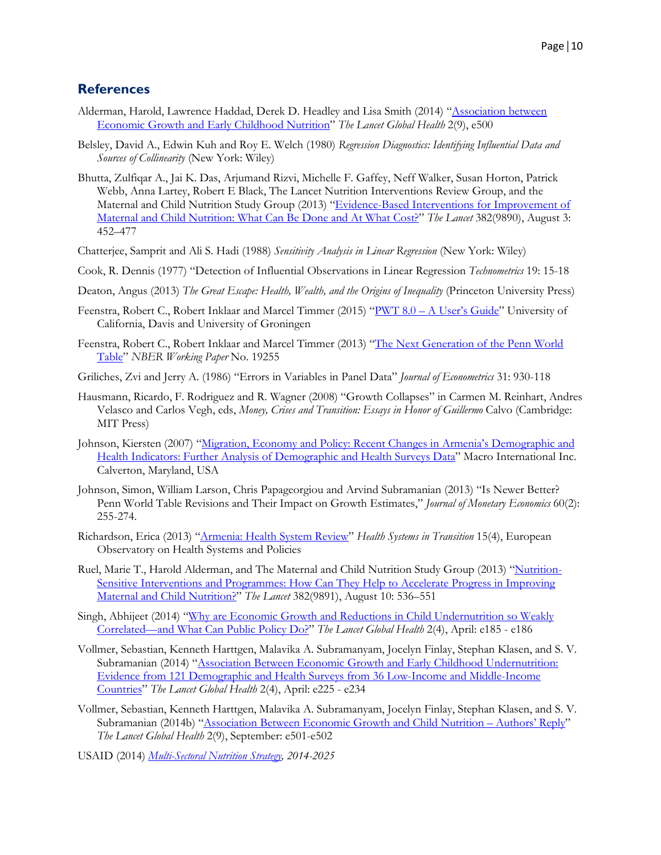# **References**

- Alderman, Harold, Lawrence Haddad, Derek D. Headley and Lisa Smith (2014) ["Association between](http://www.thelancet.com/journals/langlo/article/PIIS2214-109X(14)70266-9/fulltext)  [Economic Growth and Early Childhood Nutrition"](http://www.thelancet.com/journals/langlo/article/PIIS2214-109X(14)70266-9/fulltext) *The Lancet Global Health* 2(9), e500
- Belsley, David A., Edwin Kuh and Roy E. Welch (1980) *Regression Diagnostics: Identifying Influential Data and Sources of Collinearity* (New York: Wiley)
- Bhutta, Zulfiqar A., Jai K. Das, Arjumand Rizvi, Michelle F. Gaffey, Neff Walker, Susan Horton, Patrick Webb, Anna Lartey, Robert E Black, The Lancet Nutrition Interventions Review Group, and the Maternal and Child Nutrition Study Group (2013) "Evidence-Based Interventions for Improvement of [Maternal and Child Nutrition: What Can](http://www.thelancet.com/journals/lancet/article/PIIS0140-6736(13)60996-4/fulltext) Be Done and At What Cost?" *The Lancet* 382(9890), August 3: 452–477
- Chatterjee, Samprit and Ali S. Hadi (1988) *Sensitivity Analysis in Linear Regression* (New York: Wiley)
- Cook, R. Dennis (1977) "Detection of Influential Observations in Linear Regression *Technometrics* 19: 15-18
- Deaton, Angus (2013) *The Great Escape: Health, Wealth, and the Origins of Inequality* (Princeton University Press)
- Feenstra, Robert C., Robert Inklaar and Marcel Timmer (2015) "PWT 8.0 [A User's Guide"](https://irs.princeton.edu/sites/irs/files/event/uploads/PWT%2080%20-%20a%20user%20guide.pdf) University of California, Davis and University of Groningen
- Feenstra, Robert C., Robert Inklaar and Marcel Timmer (2013) ["The Next Generation](http://www.nber.org/papers/w19255) of the Penn World [Table"](http://www.nber.org/papers/w19255) *NBER Working Paper* No. 19255
- Griliches, Zvi and Jerry A. (1986) "Errors in Variables in Panel Data" *Journal of Econometrics* 31: 930-118
- Hausmann, Ricardo, F. Rodriguez and R. Wagner (2008) "Growth Collapses" in Carmen M. Reinhart, Andres Velasco and Carlos Vegh, eds, *Money, Crises and Transition: Essays in Honor of Guillermo* Calvo (Cambridge: MIT Press)
- Johnson, Kiersten (2007) ["Migration, Economy and Policy: Recent Changes in Armenia's Demographic and](http://dhsprogram.com/pubs/pdf/TR3/TR3.pdf)  [Health Indicators: Further Analysis of Demographic and Health](http://dhsprogram.com/pubs/pdf/TR3/TR3.pdf) Surveys Data" Macro International Inc. Calverton, Maryland, USA
- Johnson, Simon, William Larson, Chris Papageorgiou and Arvind Subramanian (2013) "Is Newer Better? Penn World Table Revisions and Their Impact on Growth Estimates," *Journal of Monetary Economics* 60(2): 255-274.
- Richardson, Erica (2013) ["Armenia: Health System Review"](http://www.euro.who.int/__data/assets/pdf_file/0008/234935/HiT-Armenia.pdf) *Health Systems in Transition* 15(4), European Observatory on Health Systems and Policies
- Ruel, Marie T., Harold Alderman, and The Maternal and Child Nutrition Study Group (2013) ["Nutrition-](http://www.thelancet.com/journals/lancet/article/PIIS0140-6736(13)60843-0/fulltext)[Sensitive Interventions and Programmes: How Can They Help to Accelerate Progress in Improving](http://www.thelancet.com/journals/lancet/article/PIIS0140-6736(13)60843-0/fulltext)  [Maternal and Child Nutrition?"](http://www.thelancet.com/journals/lancet/article/PIIS0140-6736(13)60843-0/fulltext) *The Lancet* 382(9891), August 10: 536–551
- Singh, Abhijeet (2014) ["Why are Economic Growth and Reductions in Child Undernutrition so Weakly](http://www.thelancet.com/journals/langlo/article/PIIS2214-109X(14)70200-1/fulltext)  [Correlated—and What Can Public Policy Do?"](http://www.thelancet.com/journals/langlo/article/PIIS2214-109X(14)70200-1/fulltext) *The Lancet Global Health* 2(4), April: e185 - e186
- Vollmer, Sebastian, Kenneth Harttgen, Malavika A. Subramanyam, Jocelyn Finlay, Stephan Klasen, and S. V. Subramanian (2014) "Association Between Economic Growth and Early Childhood Undernutrition: [Evidence from 121 Demographic and Health Surveys from 36 Low-Income and Middle-Income](http://www.thelancet.com/journals/langlo/article/PIIS2214-109X(14)70025-7/fulltext)  [Countries"](http://www.thelancet.com/journals/langlo/article/PIIS2214-109X(14)70025-7/fulltext) *The Lancet Global Health* 2(4), April: e225 - e234
- Vollmer, Sebastian, Kenneth Harttgen, Malavika A. Subramanyam, Jocelyn Finlay, Stephan Klasen, and S. V. Subramanian (2014b) ["Association Between Economic Growth and Child Nutrition –](http://www.thelancet.com/journals/langlo/article/PIIS2214-109X(14)70268-2/fulltext) Authors' Reply" *The Lancet Global Health* 2(9), September: e501-e502
- USAID (2014) *[Multi-Sectoral Nutrition Strategy,](https://www.usaid.gov/sites/default/files/documents/1867/USAID_Nutrition_Strategy_5-09_508.pdf) 2014-2025*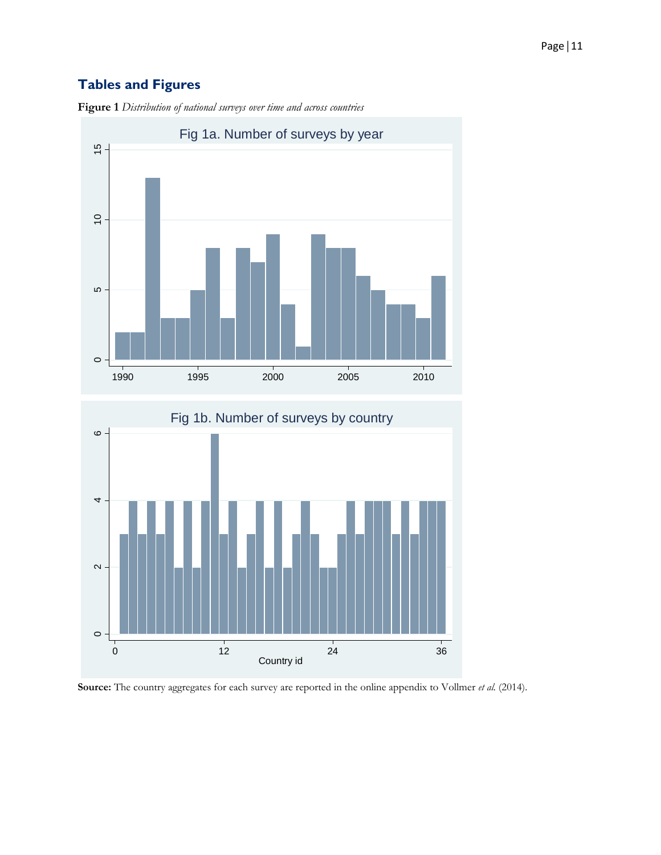# **Tables and Figures**



**Figure 1** *Distribution of national surveys over time and across countries*



**Source:** The country aggregates for each survey are reported in the online appendix to Vollmer *et al.* (2014).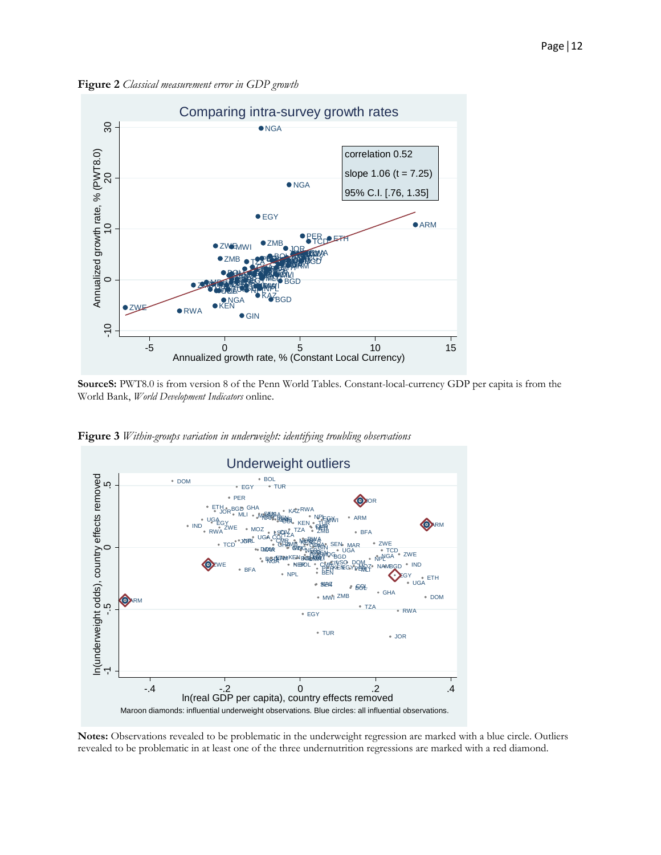**Figure 2** *Classical measurement error in GDP growth*



**SourceS:** PWT8.0 is from version 8 of the Penn World Tables. Constant-local-currency GDP per capita is from the World Bank, *World Development Indicators* online.



**Figure 3** *Within-groups variation in underweight: identifying troubling observations*

**Notes:** Observations revealed to be problematic in the underweight regression are marked with a blue circle. Outliers revealed to be problematic in at least one of the three undernutrition regressions are marked with a red diamond.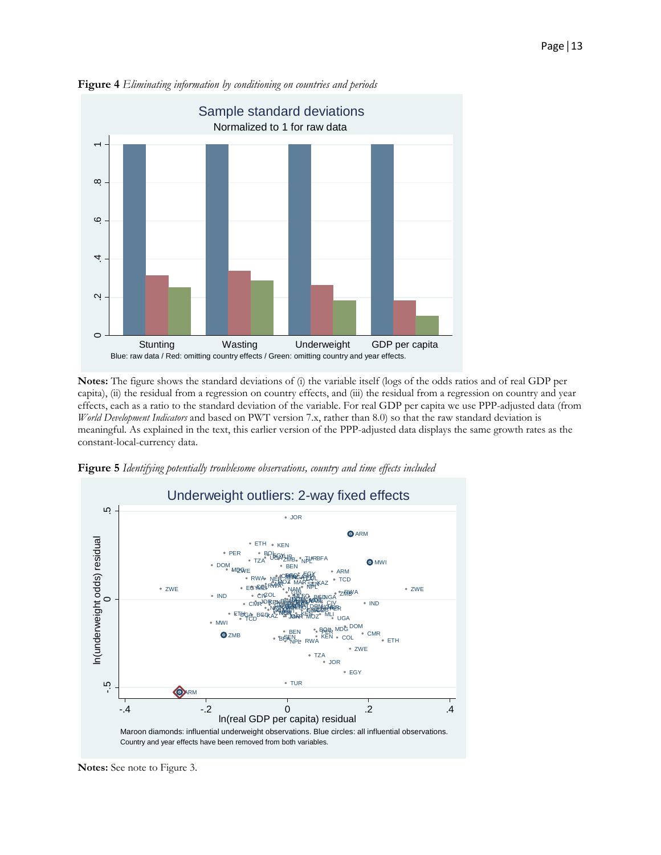

**Figure 4** *Eliminating information by conditioning on countries and periods*

**Notes:** The figure shows the standard deviations of (i) the variable itself (logs of the odds ratios and of real GDP per capita), (ii) the residual from a regression on country effects, and (iii) the residual from a regression on country and year effects, each as a ratio to the standard deviation of the variable. For real GDP per capita we use PPP-adjusted data (from *World Development Indicators* and based on PWT version 7.x, rather than 8.0) so that the raw standard deviation is meaningful. As explained in the text, this earlier version of the PPP-adjusted data displays the same growth rates as the constant-local-currency data.



**Figure 5** *Identifying potentially troublesome observations, country and time effects included*

**Notes:** See note to Figure 3.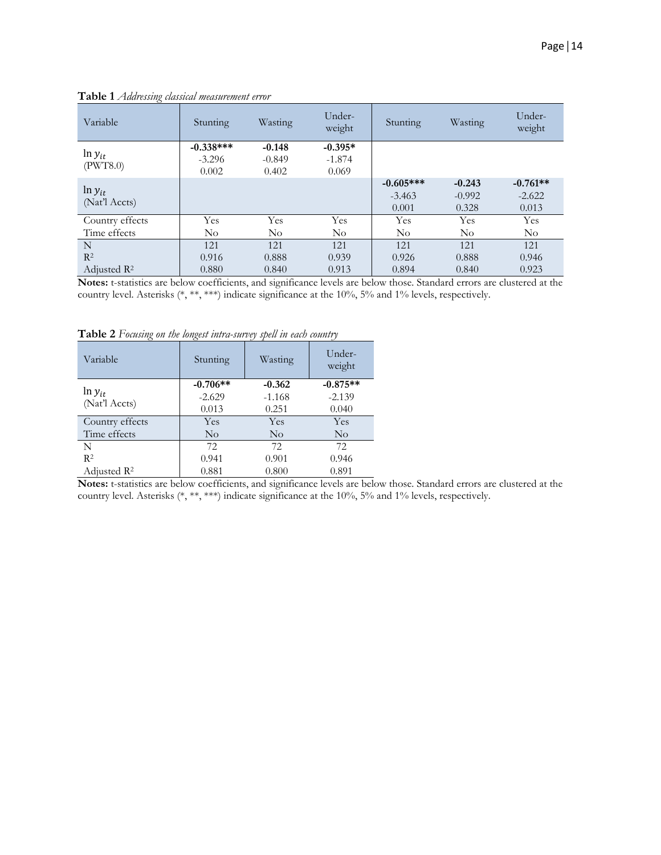| Variable                | Stunting                | Wasting              | Under-<br>weight      | Stunting    | Wasting  | Under-<br>weight |
|-------------------------|-------------------------|----------------------|-----------------------|-------------|----------|------------------|
| $\ln y_{it}$            | $-0.338***$<br>$-3.296$ | $-0.148$<br>$-0.849$ | $-0.395*$<br>$-1.874$ |             |          |                  |
| (PWT8.0)                | 0.002                   | 0.402                | 0.069                 |             |          |                  |
| $\ln y_{it}$            |                         |                      |                       | $-0.605***$ | $-0.243$ | $-0.761**$       |
| (Nat'l Accts)           |                         |                      |                       | $-3.463$    | $-0.992$ | $-2.622$         |
|                         |                         |                      |                       | 0.001       | 0.328    | 0.013            |
| Country effects         | Yes                     | Yes                  | Yes                   | <b>Yes</b>  | Yes      | <b>Yes</b>       |
| Time effects            | $\rm No$                | $\rm No$             | $\rm No$              | $\rm No$    | $\rm No$ | $\rm No$         |
| N                       | 121                     | 121                  | 121                   | 121         | 121      | 121              |
| $R^2$                   | 0.916                   | 0.888                | 0.939                 | 0.926       | 0.888    | 0.946            |
| Adjusted R <sup>2</sup> | 0.880                   | 0.840                | 0.913                 | 0.894       | 0.840    | 0.923            |

**Table 1** *Addressing classical measurement error*

**Notes:** t-statistics are below coefficients, and significance levels are below those. Standard errors are clustered at the country level. Asterisks (\*, \*\*, \*\*\*) indicate significance at the 10%, 5% and 1% levels, respectively.

| Variable                | Stunting   | Wasting  | Under-<br>weight |
|-------------------------|------------|----------|------------------|
|                         | $-0.706**$ | $-0.362$ | $-0.875**$       |
| $\ln y_{it}$            | $-2.629$   | $-1.168$ | $-2.139$         |
| (Nat'l Accts)           | 0.013      | 0.251    | 0.040            |
| Country effects         | Yes        | Yes      | Yes              |
| Time effects            | $\rm No$   | $\rm No$ | $\rm No$         |
| N                       | 72         | 72       | 72.              |
| R <sup>2</sup>          | 0.941      | 0.901    | 0.946            |
| Adjusted $\mathbb{R}^2$ | 0.881      | 0.800    | 0.891            |

**Table 2** *Focusing on the longest intra-survey spell in each country*

**Notes:** t-statistics are below coefficients, and significance levels are below those. Standard errors are clustered at the country level. Asterisks (\*, \*\*, \*\*\*) indicate significance at the 10%, 5% and 1% levels, respectively.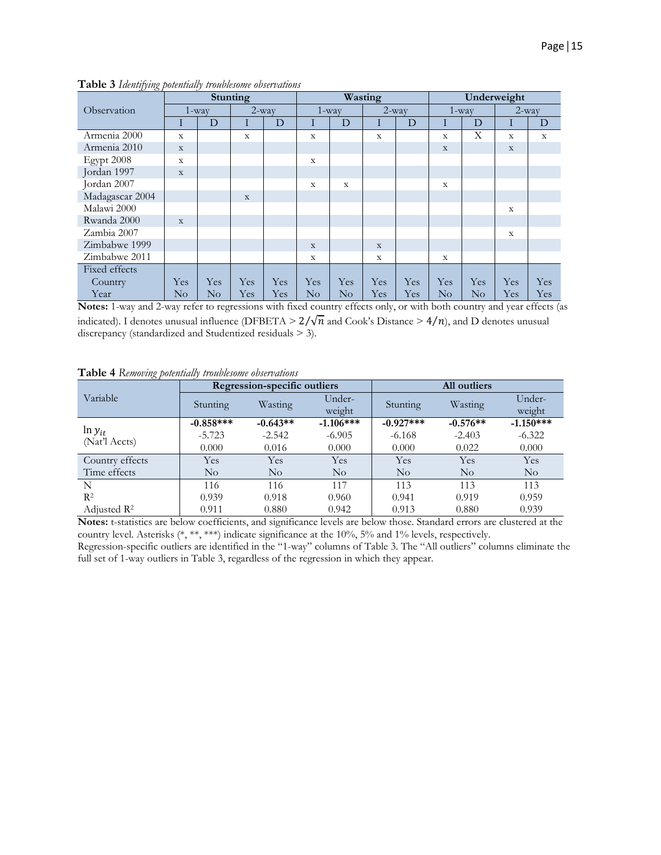| $\mathbf{u}$    | <b>Stunting</b> |           |             | Wasting |             |           | Underweight |     |          |          |          |             |
|-----------------|-----------------|-----------|-------------|---------|-------------|-----------|-------------|-----|----------|----------|----------|-------------|
| Observation     |                 | $1 - way$ | $2$ -way    |         |             | $1 - way$ | $2$ -way    |     | $1$ -way |          | $2$ -way |             |
|                 | 1               | D         | Ι           | D       | Ι           | D         | Ι           | D   | Ι        | D        | 1        | D           |
| Armenia 2000    | $\mathbf X$     |           | X           |         | X           |           | $\mathbf x$ |     | X        | X        | X        | $\mathbf x$ |
| Armenia 2010    | $\mathbf X$     |           |             |         |             |           |             |     | X        |          | X        |             |
| Egypt 2008      | $\mathbf X$     |           |             |         | $\mathbf X$ |           |             |     |          |          |          |             |
| Jordan 1997     | $\mathbf X$     |           |             |         |             |           |             |     |          |          |          |             |
| Jordan 2007     |                 |           |             |         | $\mathbf X$ | X         |             |     | X        |          |          |             |
| Madagascar 2004 |                 |           | $\mathbf X$ |         |             |           |             |     |          |          |          |             |
| Malawi 2000     |                 |           |             |         |             |           |             |     |          |          | X        |             |
| Rwanda 2000     | $\mathbf X$     |           |             |         |             |           |             |     |          |          |          |             |
| Zambia 2007     |                 |           |             |         |             |           |             |     |          |          | X        |             |
| Zimbabwe 1999   |                 |           |             |         | $\mathbf X$ |           | $\mathbf X$ |     |          |          |          |             |
| Zimbabwe 2011   |                 |           |             |         | X           |           | X           |     | X        |          |          |             |
| Fixed effects   |                 |           |             |         |             |           |             |     |          |          |          |             |
| Country         | Yes             | Yes       | Yes         | Yes     | Yes         | Yes       | Yes         | Yes | Yes      | Yes      | Yes      | Yes         |
| Year            | No              | No        | Yes         | Yes     | No          | $\rm No$  | Yes         | Yes | $\rm No$ | $\rm No$ | Yes      | Yes         |

**Table 3** *Identifying potentially troublesome observations*

**Notes:** 1-way and 2-way refer to regressions with fixed country effects only, or with both country and year effects (as indicated). I denotes unusual influence (DFBETA >  $2/\sqrt{n}$  and Cook's Distance >  $4/n$ ), and D denotes unusual discrepancy (standardized and Studentized residuals > 3).

**Table 4** *Removing potentially troublesome observations*

| Variable                      |             | Regression-specific outliers |                    | All outliers |            |             |  |
|-------------------------------|-------------|------------------------------|--------------------|--------------|------------|-------------|--|
|                               | Stunting    | Wasting                      | Under-             | Stunting     | Wasting    | Under-      |  |
|                               |             |                              | weight             |              |            | weight      |  |
| $\ln y_{it}$<br>(Nat'l Accts) | $-0.858***$ | $-0.643**$                   | $-1.106***$        | $-0.927***$  | $-0.576**$ | $-1.150***$ |  |
|                               | $-5.723$    | $-2.542$                     | $-6.905$           | $-6.168$     | $-2.403$   | $-6.322$    |  |
|                               | 0.000       | 0.016                        | 0.000              | 0.000        | 0.022      | 0.000       |  |
| Country effects               | Yes         | Yes                          | Yes                | Yes          | Yes        | Yes         |  |
| Time effects                  | No          | $\rm No$                     | $\overline{N}_{O}$ | $\rm No$     | $\rm No$   | $\rm No$    |  |
| N                             | 116         | 116                          | 117                | 113          | 113        | 113         |  |
| $R^2$                         | 0.939       | 0.918                        | 0.960              | 0.941        | 0.919      | 0.959       |  |
| Adjusted $\mathbb{R}^2$       | 0.911       | 0.880                        | 0.942              | 0.913        | 0.880      | 0.939       |  |

**Notes:** t-statistics are below coefficients, and significance levels are below those. Standard errors are clustered at the country level. Asterisks (\*, \*\*, \*\*\*) indicate significance at the 10%, 5% and 1% levels, respectively.

Regression-specific outliers are identified in the "1-way" columns of Table 3. The "All outliers" columns eliminate the full set of 1-way outliers in Table 3, regardless of the regression in which they appear.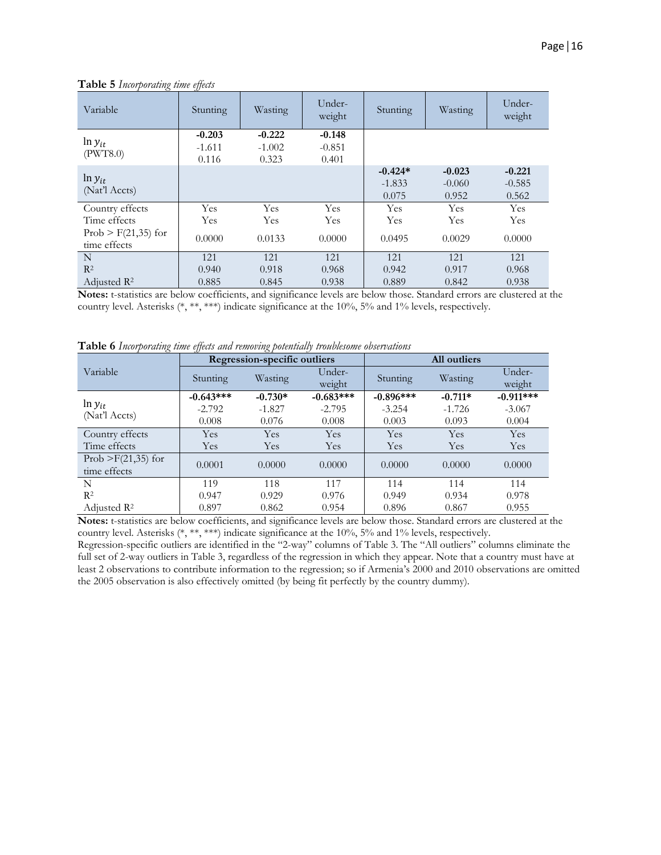| Variable                                                                 | Stunting                      | Wasting                       | Under-<br>weight              | Stunting                       | Wasting                       | Under-<br>weight              |
|--------------------------------------------------------------------------|-------------------------------|-------------------------------|-------------------------------|--------------------------------|-------------------------------|-------------------------------|
| $\ln y_{it}$<br>(PWT8.0)                                                 | $-0.203$<br>$-1.611$<br>0.116 | $-0.222$<br>$-1.002$<br>0.323 | $-0.148$<br>$-0.851$<br>0.401 |                                |                               |                               |
| $\ln y_{it}$<br>(Nat'l Accts)                                            |                               |                               |                               | $-0.424*$<br>$-1.833$<br>0.075 | $-0.023$<br>$-0.060$<br>0.952 | $-0.221$<br>$-0.585$<br>0.562 |
| Country effects<br>Time effects<br>Prob $>$ F(21,35) for<br>time effects | Yes<br>Yes<br>0.0000          | Yes<br>Yes<br>0.0133          | Yes<br>Yes<br>0.0000          | Yes<br>Yes<br>0.0495           | Yes<br>Yes<br>0.0029          | Yes<br>Yes<br>0.0000          |
| N<br>$R^2$<br>Adjusted $\mathbb{R}^2$                                    | 121<br>0.940<br>0.885         | 121<br>0.918<br>0.845         | 121<br>0.968<br>0.938         | 121<br>0.942<br>0.889          | 121<br>0.917<br>0.842         | 121<br>0.968<br>0.938         |

**Table 5** *Incorporating time effects*

**Notes:** t-statistics are below coefficients, and significance levels are below those. Standard errors are clustered at the country level. Asterisks (\*, \*\*, \*\*\*) indicate significance at the 10%, 5% and 1% levels, respectively.

**Table 6** *Incorporating time effects and removing potentially troublesome observations*

|                               |             | <b>Regression-specific outliers</b> |                  | All outliers |           |                  |  |
|-------------------------------|-------------|-------------------------------------|------------------|--------------|-----------|------------------|--|
| Variable                      | Stunting    | Wasting                             | Under-<br>weight | Stunting     | Wasting   | Under-<br>weight |  |
|                               | $-0.643***$ | $-0.730*$                           | $-0.683***$      | $-0.896***$  | $-0.711*$ | $-0.911***$      |  |
| $\ln y_{it}$<br>(Nat'l Accts) | $-2.792$    | $-1.827$                            | $-2.795$         | $-3.254$     | $-1.726$  | $-3.067$         |  |
|                               | 0.008       | 0.076                               | 0.008            | 0.003        | 0.093     | 0.004            |  |
| Country effects               | Yes         | Yes                                 | Yes              | Yes          | Yes       | Yes              |  |
| Time effects                  | <b>Yes</b>  | Yes                                 | Yes              | Yes          | Yes       | <b>Yes</b>       |  |
| Prob $>$ F(21,35) for         | 0.0001      | 0.0000                              | 0.0000           | 0.0000       | 0.0000    | 0.0000           |  |
| time effects                  |             |                                     |                  |              |           |                  |  |
| N                             | 119         | 118                                 | 117              | 114          | 114       | 114              |  |
| $R^2$                         | 0.947       | 0.929                               | 0.976            | 0.949        | 0.934     | 0.978            |  |
| Adjusted $\mathbb{R}^2$       | 0.897       | 0.862                               | 0.954            | 0.896        | 0.867     | 0.955            |  |

**Notes:** t-statistics are below coefficients, and significance levels are below those. Standard errors are clustered at the country level. Asterisks (\*, \*\*, \*\*\*) indicate significance at the 10%, 5% and 1% levels, respectively.

Regression-specific outliers are identified in the "2-way" columns of Table 3. The "All outliers" columns eliminate the full set of 2-way outliers in Table 3, regardless of the regression in which they appear. Note that a country must have at least 2 observations to contribute information to the regression; so if Armenia's 2000 and 2010 observations are omitted the 2005 observation is also effectively omitted (by being fit perfectly by the country dummy).